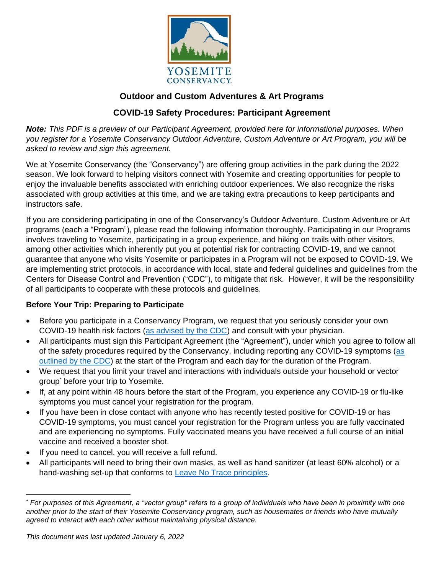

## **Outdoor and Custom Adventures & Art Programs**

# **COVID-19 Safety Procedures: Participant Agreement**

*Note: This PDF is a preview of our Participant Agreement, provided here for informational purposes. When you register for a Yosemite Conservancy Outdoor Adventure, Custom Adventure or Art Program, you will be asked to review and sign this agreement.* 

We at Yosemite Conservancy (the "Conservancy") are offering group activities in the park during the 2022 season. We look forward to helping visitors connect with Yosemite and creating opportunities for people to enjoy the invaluable benefits associated with enriching outdoor experiences. We also recognize the risks associated with group activities at this time, and we are taking extra precautions to keep participants and instructors safe.

If you are considering participating in one of the Conservancy's Outdoor Adventure, Custom Adventure or Art programs (each a "Program"), please read the following information thoroughly. Participating in our Programs involves traveling to Yosemite, participating in a group experience, and hiking on trails with other visitors, among other activities which inherently put you at potential risk for contracting COVID-19, and we cannot guarantee that anyone who visits Yosemite or participates in a Program will not be exposed to COVID-19. We are implementing strict protocols, in accordance with local, state and federal guidelines and guidelines from the Centers for Disease Control and Prevention ("CDC"), to mitigate that risk. However, it will be the responsibility of all participants to cooperate with these protocols and guidelines.

#### **Before Your Trip: Preparing to Participate**

- Before you participate in a Conservancy Program, we request that you seriously consider your own COVID-19 health risk factors [\(as advised by the CDC\)](https://www.cdc.gov/coronavirus/2019-ncov/need-extra-precautions/index.html) and consult with your physician.
- All participants must sign this Participant Agreement (the "Agreement"), under which you agree to follow all of the safety procedures required by the Conservancy, including reporting any COVID-19 symptoms [\(as](https://www.cdc.gov/coronavirus/2019-ncov/symptoms-testing/symptoms.html)  [outlined by the CDC\)](https://www.cdc.gov/coronavirus/2019-ncov/symptoms-testing/symptoms.html) at the start of the Program and each day for the duration of the Program.
- We request that you limit your travel and interactions with individuals outside your household or vector group\* before your trip to Yosemite.
- If, at any point within 48 hours before the start of the Program, you experience any COVID-19 or flu-like symptoms you must cancel your registration for the program.
- If you have been in close contact with anyone who has recently tested positive for COVID-19 or has COVID-19 symptoms, you must cancel your registration for the Program unless you are fully vaccinated and are experiencing no symptoms. Fully vaccinated means you have received a full course of an initial vaccine and received a booster shot.
- If you need to cancel, you will receive a full refund.
- All participants will need to bring their own masks, as well as hand sanitizer (at least 60% alcohol) or a hand-washing set-up that conforms to [Leave No Trace principles.](https://www.nps.gov/articles/leave-no-trace-seven-principles.htm)

<sup>\*</sup> *For purposes of this Agreement, a "vector group" refers to a group of individuals who have been in proximity with one another prior to the start of their Yosemite Conservancy program, such as housemates or friends who have mutually agreed to interact with each other without maintaining physical distance.*